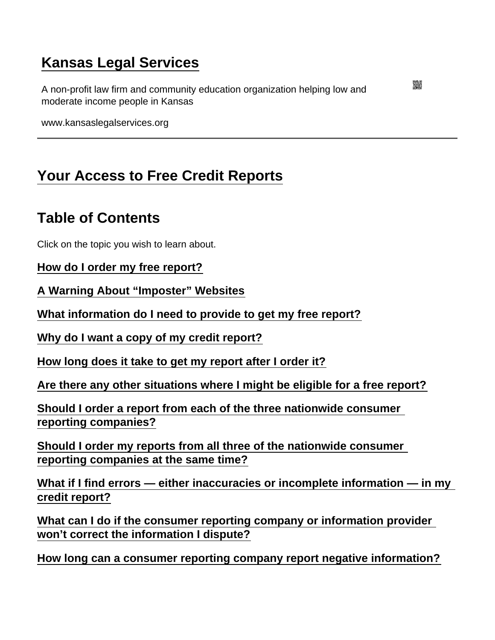# [Kansas Legal Services](https://www.kansaslegalservices.org/)

A non-profit law firm and community education organization helping low and moderate income people in Kansas

www.kansaslegalservices.org

# [Your Access to Free Credit Reports](https://www.kansaslegalservices.org/node/1204/your-access-free-credit-reports)

# Table of Contents

Click on the topic you wish to learn about.

[How do I order my free report?](#page-1-0)

[A Warning About "Imposter" Websites](#page-2-0)

[What information do I need to provide to get my free report?](#page-2-0)

[Why do I want a copy of my credit report?](#page-3-0)

[How long does it take to get my report after I order it?](#page-3-0)

[Are there any other situations where I might be eligible for a free report?](#page-4-0)

[Should I order a report from each of the three nationwide consumer](#page-4-0)  [reporting companies?](#page-4-0)

[Should I order my reports from all three of the nationwide consumer](#page-4-0)  [reporting companies at the same time?](#page-4-0)

[What if I find errors — either inaccuracies or incomplete information — in my](#page-5-0)  [credit report?](#page-5-0)

[What can I do if the consumer reporting company or information provider](#page-5-0)  [won't correct the information I dispute?](#page-5-0)

[How long can a consumer reporting company report negative information?](#page-6-0)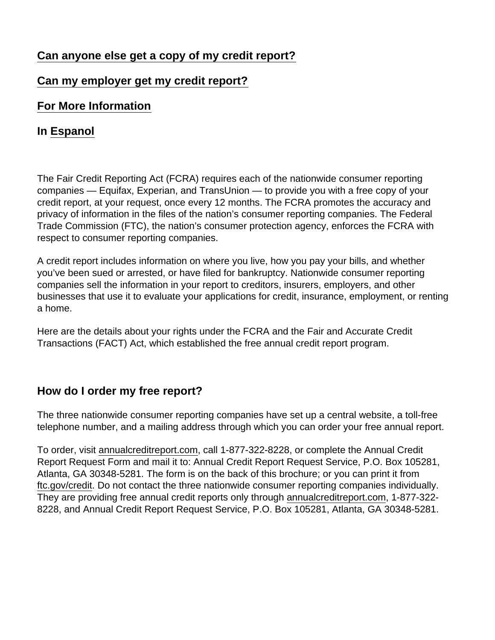# <span id="page-1-0"></span>[Can anyone else get a copy of my credit report?](#page-6-0)

## [Can my employer get my credit report?](#page-6-0)

# [For More Information](#page-7-0)

In [Espanol](http://www.kansaslegalservices.org/node/1205)

The Fair Credit Reporting Act (FCRA) requires each of the nationwide consumer reporting companies — Equifax, Experian, and TransUnion — to provide you with a free copy of your credit report, at your request, once every 12 months. The FCRA promotes the accuracy and privacy of information in the files of the nation's consumer reporting companies. The Federal Trade Commission (FTC), the nation's consumer protection agency, enforces the FCRA with respect to consumer reporting companies.

A credit report includes information on where you live, how you pay your bills, and whether you've been sued or arrested, or have filed for bankruptcy. Nationwide consumer reporting companies sell the information in your report to creditors, insurers, employers, and other businesses that use it to evaluate your applications for credit, insurance, employment, or renting a home.

Here are the details about your rights under the FCRA and the Fair and Accurate Credit Transactions (FACT) Act, which established the free annual credit report program.

How do I order my free report?

The three nationwide consumer reporting companies have set up a central website, a toll-free telephone number, and a mailing address through which you can order your free annual report.

To order, visit [annualcreditreport.com,](http://www.annualcreditreport.com/) call 1-877-322-8228, or complete the Annual Credit Report Request Form and mail it to: Annual Credit Report Request Service, P.O. Box 105281, Atlanta, GA 30348-5281. The form is on the back of this brochure; or you can print it from [ftc.gov/credit](http://www.ftc.gov/credit). Do not contact the three nationwide consumer reporting companies individually. They are providing free annual credit reports only through [annualcreditreport.com,](http://www.annualcreditreport.com/) 1-877-322- 8228, and Annual Credit Report Request Service, P.O. Box 105281, Atlanta, GA 30348-5281.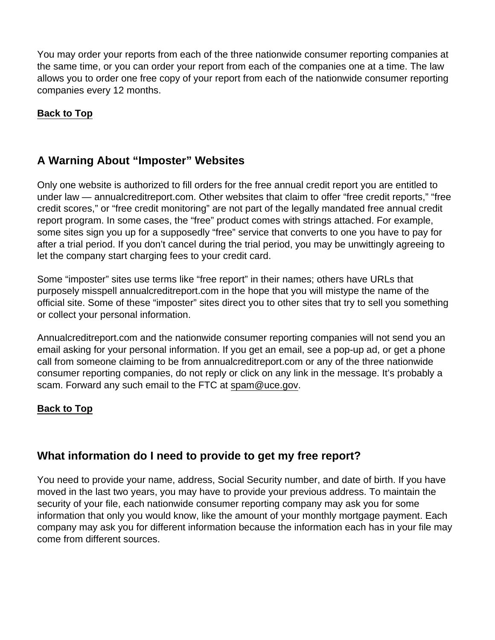<span id="page-2-0"></span>You may order your reports from each of the three nationwide consumer reporting companies at the same time, or you can order your report from each of the companies one at a time. The law allows you to order one free copy of your report from each of the nationwide consumer reporting companies every 12 months.

Back to Top

# A Warning About "Imposter" Websites

Only one website is authorized to fill orders for the free annual credit report you are entitled to under law — annualcreditreport.com. Other websites that claim to offer "free credit reports," "free credit scores," or "free credit monitoring" are not part of the legally mandated free annual credit report program. In some cases, the "free" product comes with strings attached. For example, some sites sign you up for a supposedly "free" service that converts to one you have to pay for after a trial period. If you don't cancel during the trial period, you may be unwittingly agreeing to let the company start charging fees to your credit card.

Some "imposter" sites use terms like "free report" in their names; others have URLs that purposely misspell annualcreditreport.com in the hope that you will mistype the name of the official site. Some of these "imposter" sites direct you to other sites that try to sell you something or collect your personal information.

Annualcreditreport.com and the nationwide consumer reporting companies will not send you an email asking for your personal information. If you get an email, see a pop-up ad, or get a phone call from someone claiming to be from annualcreditreport.com or any of the three nationwide consumer reporting companies, do not reply or click on any link in the message. It's probably a scam. Forward any such email to the FTC at [spam@uce.gov.](mailto:spam@uce.gov)

#### Back to Top

## What information do I need to provide to get my free report?

You need to provide your name, address, Social Security number, and date of birth. If you have moved in the last two years, you may have to provide your previous address. To maintain the security of your file, each nationwide consumer reporting company may ask you for some information that only you would know, like the amount of your monthly mortgage payment. Each company may ask you for different information because the information each has in your file may come from different sources.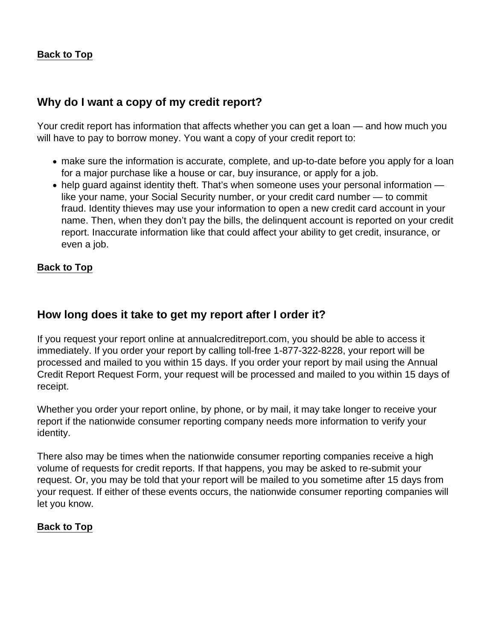#### <span id="page-3-0"></span>**Back to Top**

## **Why do I want a copy of my credit report?**

Your credit report has information that affects whether you can get a loan — and how much you will have to pay to borrow money. You want a copy of your credit report to:

- make sure the information is accurate, complete, and up-to-date before you apply for a loan for a major purchase like a house or car, buy insurance, or apply for a job.
- help guard against identity theft. That's when someone uses your personal information like your name, your Social Security number, or your credit card number — to commit fraud. Identity thieves may use your information to open a new credit card account in your name. Then, when they don't pay the bills, the delinquent account is reported on your credit report. Inaccurate information like that could affect your ability to get credit, insurance, or even a job.

#### **Back to Top**

## **How long does it take to get my report after I order it?**

If you request your report online at annualcreditreport.com, you should be able to access it immediately. If you order your report by calling toll-free 1-877-322-8228, your report will be processed and mailed to you within 15 days. If you order your report by mail using the Annual Credit Report Request Form, your request will be processed and mailed to you within 15 days of receipt.

Whether you order your report online, by phone, or by mail, it may take longer to receive your report if the nationwide consumer reporting company needs more information to verify your identity.

There also may be times when the nationwide consumer reporting companies receive a high volume of requests for credit reports. If that happens, you may be asked to re-submit your request. Or, you may be told that your report will be mailed to you sometime after 15 days from your request. If either of these events occurs, the nationwide consumer reporting companies will let you know.

#### **Back to Top**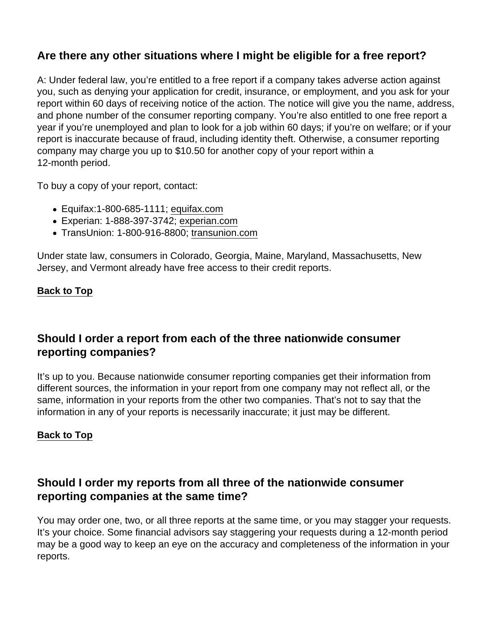## <span id="page-4-0"></span>Are there any other situations where I might be eligible for a free report?

A: Under federal law, you're entitled to a free report if a company takes adverse action against you, such as denying your application for credit, insurance, or employment, and you ask for your report within 60 days of receiving notice of the action. The notice will give you the name, address, and phone number of the consumer reporting company. You're also entitled to one free report a year if you're unemployed and plan to look for a job within 60 days; if you're on welfare; or if your report is inaccurate because of fraud, including identity theft. Otherwise, a consumer reporting company may charge you up to \$10.50 for another copy of your report within a 12-month period.

To buy a copy of your report, contact:

- Equifax:1-800-685-1111; [equifax.com](http://www.equifax.com/)
- Experian: 1-888-397-3742; [experian.com](http://www.experian.com/)
- TransUnion: 1-800-916-8800; [transunion.com](http://www.transunion.com/)

Under state law, consumers in Colorado, Georgia, Maine, Maryland, Massachusetts, New Jersey, and Vermont already have free access to their credit reports.

#### Back to Top

Should I order a report from each of the three nationwide consumer reporting companies?

It's up to you. Because nationwide consumer reporting companies get their information from different sources, the information in your report from one company may not reflect all, or the same, information in your reports from the other two companies. That's not to say that the information in any of your reports is necessarily inaccurate; it just may be different.

Back to Top

Should I order my reports from all three of the nationwide consumer reporting companies at the same time?

You may order one, two, or all three reports at the same time, or you may stagger your requests. It's your choice. Some financial advisors say staggering your requests during a 12-month period may be a good way to keep an eye on the accuracy and completeness of the information in your reports.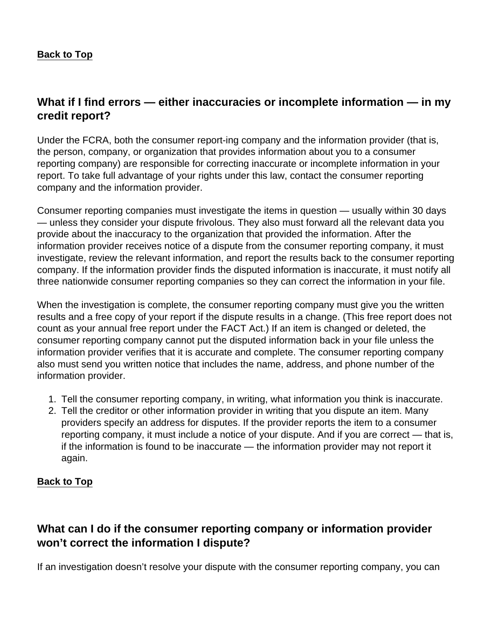#### <span id="page-5-0"></span>**Back to Top**

## **What if I find errors — either inaccuracies or incomplete information — in my credit report?**

Under the FCRA, both the consumer report-ing company and the information provider (that is, the person, company, or organization that provides information about you to a consumer reporting company) are responsible for correcting inaccurate or incomplete information in your report. To take full advantage of your rights under this law, contact the consumer reporting company and the information provider.

Consumer reporting companies must investigate the items in question — usually within 30 days — unless they consider your dispute frivolous. They also must forward all the relevant data you provide about the inaccuracy to the organization that provided the information. After the information provider receives notice of a dispute from the consumer reporting company, it must investigate, review the relevant information, and report the results back to the consumer reporting company. If the information provider finds the disputed information is inaccurate, it must notify all three nationwide consumer reporting companies so they can correct the information in your file.

When the investigation is complete, the consumer reporting company must give you the written results and a free copy of your report if the dispute results in a change. (This free report does not count as your annual free report under the FACT Act.) If an item is changed or deleted, the consumer reporting company cannot put the disputed information back in your file unless the information provider verifies that it is accurate and complete. The consumer reporting company also must send you written notice that includes the name, address, and phone number of the information provider.

- 1. Tell the consumer reporting company, in writing, what information you think is inaccurate.
- 2. Tell the creditor or other information provider in writing that you dispute an item. Many providers specify an address for disputes. If the provider reports the item to a consumer reporting company, it must include a notice of your dispute. And if you are correct — that is, if the information is found to be inaccurate — the information provider may not report it again.

#### **Back to Top**

## **What can I do if the consumer reporting company or information provider won't correct the information I dispute?**

If an investigation doesn't resolve your dispute with the consumer reporting company, you can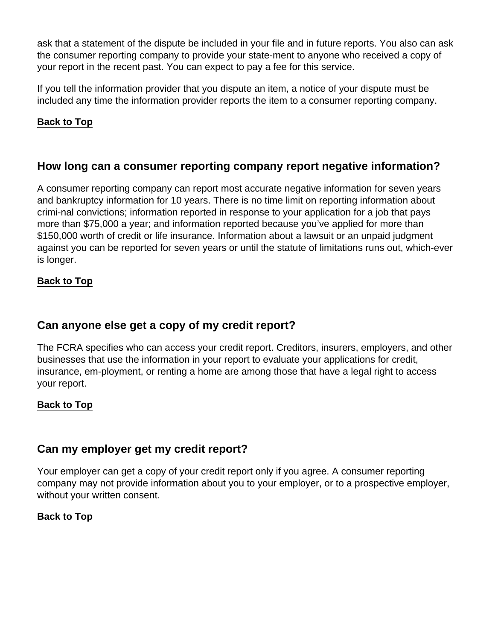<span id="page-6-0"></span>ask that a statement of the dispute be included in your file and in future reports. You also can ask the consumer reporting company to provide your state-ment to anyone who received a copy of your report in the recent past. You can expect to pay a fee for this service.

If you tell the information provider that you dispute an item, a notice of your dispute must be included any time the information provider reports the item to a consumer reporting company.

## **Back to Top**

## **How long can a consumer reporting company report negative information?**

A consumer reporting company can report most accurate negative information for seven years and bankruptcy information for 10 years. There is no time limit on reporting information about crimi-nal convictions; information reported in response to your application for a job that pays more than \$75,000 a year; and information reported because you've applied for more than \$150,000 worth of credit or life insurance. Information about a lawsuit or an unpaid judgment against you can be reported for seven years or until the statute of limitations runs out, which-ever is longer.

### **Back to Top**

## **Can anyone else get a copy of my credit report?**

The FCRA specifies who can access your credit report. Creditors, insurers, employers, and other businesses that use the information in your report to evaluate your applications for credit, insurance, em-ployment, or renting a home are among those that have a legal right to access your report.

## **Back to Top**

## **Can my employer get my credit report?**

Your employer can get a copy of your credit report only if you agree. A consumer reporting company may not provide information about you to your employer, or to a prospective employer, without your written consent.

#### **Back to Top**